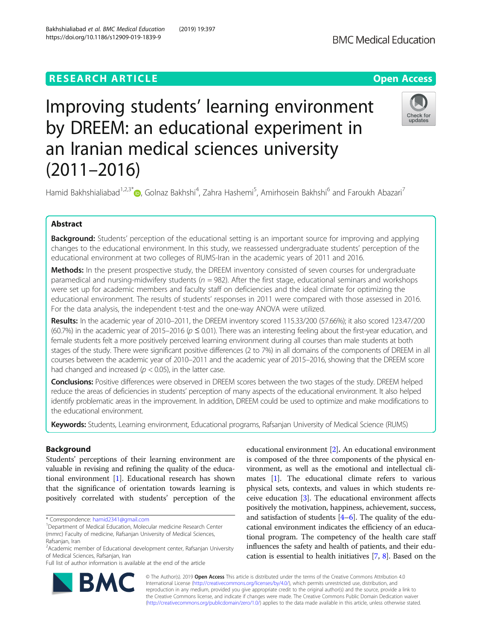https://doi.org/10.1186/s12909-019-1839-9

# **RESEARCH ARTICLE Example 2014 12:30 The Contract of Contract ACCESS**

# Improving students' learning environment by DREEM: an educational experiment in an Iranian medical sciences university (2011–2016)



Hamid Bakhshialiabad<sup>1,2,3[\\*](http://orcid.org/0000-0002-2257-8378)</sup>®, Golnaz Bakhshi<sup>4</sup>, Zahra Hashemi<sup>5</sup>, Amirhosein Bakhshi<sup>6</sup> and Faroukh Abazari<sup>7</sup>

# Abstract

**Background:** Students' perception of the educational setting is an important source for improving and applying changes to the educational environment. In this study, we reassessed undergraduate students' perception of the educational environment at two colleges of RUMS-Iran in the academic years of 2011 and 2016.

**Methods:** In the present prospective study, the DREEM inventory consisted of seven courses for undergraduate paramedical and nursing-midwifery students ( $n = 982$ ). After the first stage, educational seminars and workshops were set up for academic members and faculty staff on deficiencies and the ideal climate for optimizing the educational environment. The results of students' responses in 2011 were compared with those assessed in 2016. For the data analysis, the independent t-test and the one-way ANOVA were utilized.

Results: In the academic year of 2010-2011, the DREEM inventory scored 115.33/200 (57.66%); it also scored 123.47/200 (60.7%) in the academic year of 2015–2016 ( $p \le 0.01$ ). There was an interesting feeling about the first-year education, and female students felt a more positively perceived learning environment during all courses than male students at both stages of the study. There were significant positive differences (2 to 7%) in all domains of the components of DREEM in all courses between the academic year of 2010–2011 and the academic year of 2015–2016, showing that the DREEM score had changed and increased ( $p < 0.05$ ), in the latter case.

Conclusions: Positive differences were observed in DREEM scores between the two stages of the study. DREEM helped reduce the areas of deficiencies in students' perception of many aspects of the educational environment. It also helped identify problematic areas in the improvement. In addition, DREEM could be used to optimize and make modifications to the educational environment.

Keywords: Students, Learning environment, Educational programs, Rafsanjan University of Medical Science (RUMS)

## Background

Students' perceptions of their learning environment are valuable in revising and refining the quality of the educational environment [[1\]](#page-8-0). Educational research has shown that the significance of orientation towards learning is positively correlated with students' perception of the

\* Correspondence: [hamid2341@gmail.com](mailto:hamid2341@gmail.com) <sup>1</sup>

Full list of author information is available at the end of the article

educational environment [[2](#page-8-0)]. An educational environment is composed of the three components of the physical environment, as well as the emotional and intellectual climates [\[1\]](#page-8-0). The educational climate refers to various physical sets, contexts, and values in which students receive education [[3](#page-8-0)]. The educational environment affects positively the motivation, happiness, achievement, success, and satisfaction of students  $[4-6]$  $[4-6]$  $[4-6]$  $[4-6]$  $[4-6]$ . The quality of the educational environment indicates the efficiency of an educational program. The competency of the health care staff influences the safety and health of patients, and their education is essential to health initiatives [[7](#page-8-0), [8](#page-8-0)]. Based on the



© The Author(s). 2019 **Open Access** This article is distributed under the terms of the Creative Commons Attribution 4.0 International License [\(http://creativecommons.org/licenses/by/4.0/](http://creativecommons.org/licenses/by/4.0/)), which permits unrestricted use, distribution, and reproduction in any medium, provided you give appropriate credit to the original author(s) and the source, provide a link to the Creative Commons license, and indicate if changes were made. The Creative Commons Public Domain Dedication waiver [\(http://creativecommons.org/publicdomain/zero/1.0/](http://creativecommons.org/publicdomain/zero/1.0/)) applies to the data made available in this article, unless otherwise stated.

<sup>&</sup>lt;sup>1</sup>Department of Medical Education, Molecular medicine Research Center (mmrc) Faculty of medicine, Rafsanjan University of Medical Sciences, Rafsanjan, Iran

<sup>&</sup>lt;sup>2</sup> Academic member of Educational development center, Rafsanjan University of Medical Sciences, Rafsanjan, Iran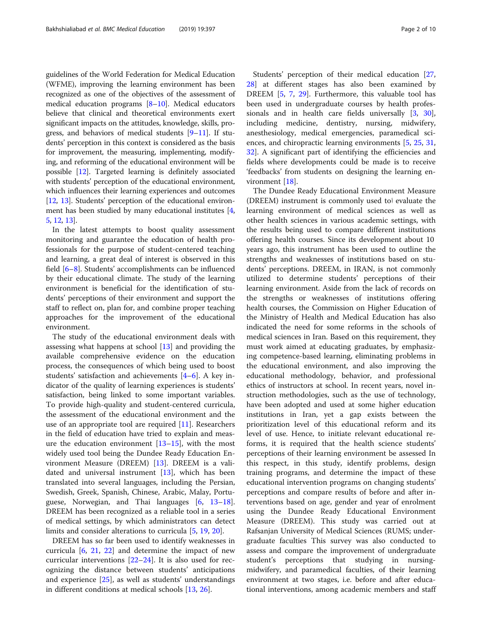guidelines of the World Federation for Medical Education (WFME), improving the learning environment has been recognized as one of the objectives of the assessment of medical education programs  $[8-10]$  $[8-10]$  $[8-10]$  $[8-10]$  $[8-10]$ . Medical educators believe that clinical and theoretical environments exert significant impacts on the attitudes, knowledge, skills, progress, and behaviors of medical students  $[9-11]$  $[9-11]$  $[9-11]$ . If students' perception in this context is considered as the basis for improvement, the measuring, implementing, modifying, and reforming of the educational environment will be possible [\[12\]](#page-8-0). Targeted learning is definitely associated with students' perception of the educational environment, which influences their learning experiences and outcomes [[12](#page-8-0), [13\]](#page-8-0). Students' perception of the educational environment has been studied by many educational institutes [[4](#page-8-0), [5,](#page-8-0) [12,](#page-8-0) [13](#page-8-0)].

In the latest attempts to boost quality assessment monitoring and guarantee the education of health professionals for the purpose of student-centered teaching and learning, a great deal of interest is observed in this field [\[6](#page-8-0)–[8](#page-8-0)]. Students' accomplishments can be influenced by their educational climate. The study of the learning environment is beneficial for the identification of students' perceptions of their environment and support the staff to reflect on, plan for, and combine proper teaching approaches for the improvement of the educational environment.

The study of the educational environment deals with assessing what happens at school [[13](#page-8-0)] and providing the available comprehensive evidence on the education process, the consequences of which being used to boost students' satisfaction and achievements [\[4](#page-8-0)–[6](#page-8-0)]. A key indicator of the quality of learning experiences is students' satisfaction, being linked to some important variables. To provide high-quality and student-centered curricula, the assessment of the educational environment and the use of an appropriate tool are required [[11\]](#page-8-0). Researchers in the field of education have tried to explain and measure the education environment  $[13-15]$  $[13-15]$  $[13-15]$  $[13-15]$  $[13-15]$ , with the most widely used tool being the Dundee Ready Education Environment Measure (DREEM) [[13\]](#page-8-0). DREEM is a validated and universal instrument [\[13](#page-8-0)], which has been translated into several languages, including the Persian, Swedish, Greek, Spanish, Chinese, Arabic, Malay, Portuguese, Norwegian, and Thai languages [[6,](#page-8-0) [13](#page-8-0)–[18](#page-8-0)]. DREEM has been recognized as a reliable tool in a series of medical settings, by which administrators can detect limits and consider alterations to curricula [\[5](#page-8-0), [19,](#page-8-0) [20\]](#page-8-0).

DREEM has so far been used to identify weaknesses in curricula [[6,](#page-8-0) [21](#page-8-0), [22\]](#page-8-0) and determine the impact of new curricular interventions  $[22-24]$  $[22-24]$  $[22-24]$ . It is also used for recognizing the distance between students' anticipations and experience [[25\]](#page-8-0), as well as students' understandings in different conditions at medical schools [\[13,](#page-8-0) [26\]](#page-8-0).

Students' perception of their medical education [[27](#page-8-0), [28\]](#page-8-0) at different stages has also been examined by DREEM [[5,](#page-8-0) [7](#page-8-0), [29\]](#page-8-0). Furthermore, this valuable tool has been used in undergraduate courses by health professionals and in health care fields universally [[3,](#page-8-0) [30](#page-8-0)], including medicine, dentistry, nursing, midwifery, anesthesiology, medical emergencies, paramedical sciences, and chiropractic learning environments [\[5](#page-8-0), [25](#page-8-0), [31](#page-9-0), [32\]](#page-9-0). A significant part of identifying the efficiencies and fields where developments could be made is to receive 'feedbacks' from students on designing the learning environment [\[18](#page-8-0)].

The Dundee Ready Educational Environment Measure (DREEM) instrument is commonly used toا evaluate the learning environment of medical sciences as well as other health sciences in various academic settings, with the results being used to compare different institutions offering health courses. Since its development about 10 years ago, this instrument has been used to outline the strengths and weaknesses of institutions based on students' perceptions. DREEM, in IRAN, is not commonly utilized to determine students' perceptions of their learning environment. Aside from the lack of records on the strengths or weaknesses of institutions offering health courses, the Commission on Higher Education of the Ministry of Health and Medical Education has also indicated the need for some reforms in the schools of medical sciences in Iran. Based on this requirement, they must work aimed at educating graduates, by emphasizing competence-based learning, eliminating problems in the educational environment, and also improving the educational methodology, behavior, and professional ethics of instructors at school. In recent years, novel instruction methodologies, such as the use of technology, have been adopted and used at some higher education institutions in Iran, yet a gap exists between the prioritization level of this educational reform and its level of use. Hence, to initiate relevant educational reforms, it is required that the health science students' perceptions of their learning environment be assessed In this respect, in this study, identify problems, design training programs, and determine the impact of these educational intervention programs on changing students' perceptions and compare results of before and after interventions based on age, gender and year of enrolment using the Dundee Ready Educational Environment Measure (DREEM). This study was carried out at Rafsanjan University of Medical Sciences (RUMS; undergraduate faculties This survey was also conducted to assess and compare the improvement of undergraduate student's perceptions that studying in nursingmidwifery, and paramedical faculties, of their learning environment at two stages, i.e. before and after educational interventions, among academic members and staff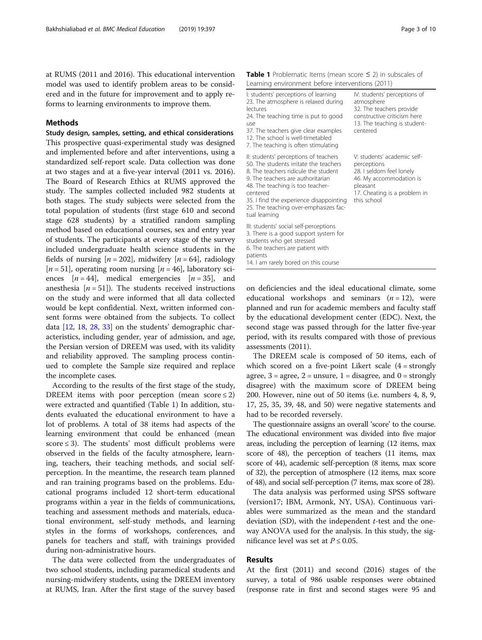<span id="page-2-0"></span>at RUMS (2011 and 2016). This educational intervention model was used to identify problem areas to be considered and in the future for improvement and to apply reforms to learning environments to improve them.

#### **Methods**

Study design, samples, setting, and ethical considerations This prospective quasi-experimental study was designed and implemented before and after interventions, using a standardized self-report scale. Data collection was done at two stages and at a five-year interval (2011 vs. 2016). The Board of Research Ethics at RUMS approved the study. The samples collected included 982 students at both stages. The study subjects were selected from the total population of students (first stage 610 and second stage 628 students) by a stratified random sampling method based on educational courses, sex and entry year of students. The participants at every stage of the survey included undergraduate health science students in the fields of nursing  $[n = 202]$ , midwifery  $[n = 64]$ , radiology [ $n = 51$ ], operating room nursing [ $n = 46$ ], laboratory sciences  $[n = 44]$ , medical emergencies  $[n = 35]$ , and anesthesia  $[n = 51]$ . The students received instructions on the study and were informed that all data collected would be kept confidential. Next, written informed consent forms were obtained from the subjects. To collect data [\[12](#page-8-0), [18,](#page-8-0) [28,](#page-8-0) [33](#page-9-0)] on the students' demographic characteristics, including gender, year of admission, and age, the Persian version of DREEM was used, with its validity and reliability approved. The sampling process continued to complete the Sample size required and replace the incomplete cases.

According to the results of the first stage of the study, DREEM items with poor perception (mean score  $\leq$  2) were extracted and quantified (Table 1) In addition, students evaluated the educational environment to have a lot of problems. A total of 38 items had aspects of the learning environment that could be enhanced (mean score  $\leq$  3). The students' most difficult problems were observed in the fields of the faculty atmosphere, learning, teachers, their teaching methods, and social selfperception. In the meantime, the research team planned and ran training programs based on the problems. Educational programs included 12 short-term educational programs within a year in the fields of communications, teaching and assessment methods and materials, educational environment, self-study methods, and learning styles in the forms of workshops, conferences, and panels for teachers and staff, with trainings provided during non-administrative hours.

The data were collected from the undergraduates of two school students, including paramedical students and nursing-midwifery students, using the DREEM inventory at RUMS, Iran. After the first stage of the survey based

| <b>Table 1</b> Problematic Items (mean score $\leq$ 2) in subscales of |  |  |  |
|------------------------------------------------------------------------|--|--|--|
| Learning environment before interventions (2011)                       |  |  |  |

| I: students' perceptions of learning<br>23. The atmosphere is relaxed during<br>lectures<br>24. The teaching time is put to good<br>use<br>37. The teachers give clear examples<br>12. The school is well-timetabled<br>7. The teaching is often stimulating                                                      | IV: students' perceptions of<br>atmosphere<br>32. The teachers provide<br>constructive criticism here<br>13. The teaching is student-<br>centered            |
|-------------------------------------------------------------------------------------------------------------------------------------------------------------------------------------------------------------------------------------------------------------------------------------------------------------------|--------------------------------------------------------------------------------------------------------------------------------------------------------------|
| II: students' perceptions of teachers<br>50. The students irritate the teachers<br>8. The teachers ridicule the student<br>9. The teachers are authoritarian<br>48. The teaching is too teacher-<br>centered<br>35. I find the experience disappointing<br>25. The teaching over-emphasizes fac-<br>tual learning | V: students' academic self-<br>perceptions<br>28. I seldom feel lonely<br>46. My accommodation is<br>pleasant<br>17. Cheating is a problem in<br>this school |
| III: students' social self-perceptions<br>3. There is a good support system for<br>students who get stressed<br>6. The teachers are patient with<br>patients<br>14. I am rarely bored on this course                                                                                                              |                                                                                                                                                              |

on deficiencies and the ideal educational climate, some educational workshops and seminars  $(n = 12)$ , were planned and run for academic members and faculty staff by the educational development center (EDC). Next, the second stage was passed through for the latter five-year period, with its results compared with those of previous assessments (2011).

The DREEM scale is composed of 50 items, each of which scored on a five-point Likert scale  $(4 = \text{strongly})$ agree,  $3 = \text{agree}$ ,  $2 = \text{unsure}$ ,  $1 = \text{disagree}$ , and  $0 = \text{strongly}$ disagree) with the maximum score of DREEM being 200. However, nine out of 50 items (i.e. numbers 4, 8, 9, 17, 25, 35, 39, 48, and 50) were negative statements and had to be recorded reversely.

The questionnaire assigns an overall 'score' to the course. The educational environment was divided into five major areas, including the perception of learning (12 items, max score of 48), the perception of teachers (11 items, max score of 44), academic self-perception (8 items, max score of 32), the perception of atmosphere (12 items, max score of 48), and social self-perception (7 items, max score of 28).

The data analysis was performed using SPSS software (version17; IBM, Armonk, NY, USA). Continuous variables were summarized as the mean and the standard deviation (SD), with the independent  $t$ -test and the oneway ANOVA used for the analysis. In this study, the significance level was set at  $P \leq 0.05$ .

#### Results

At the first (2011) and second (2016) stages of the survey, a total of 986 usable responses were obtained (response rate in first and second stages were 95 and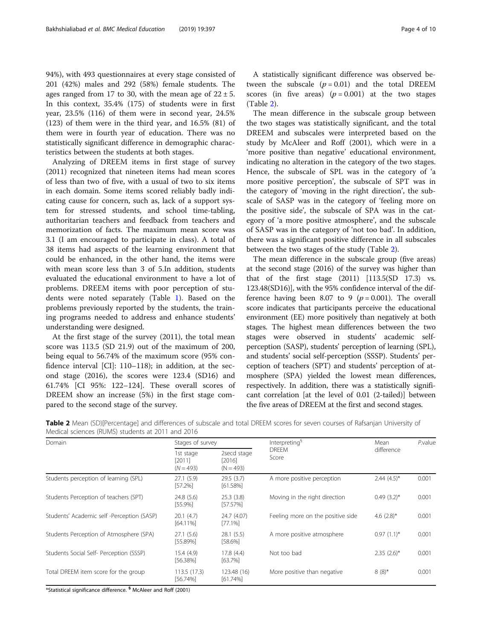94%), with 493 questionnaires at every stage consisted of 201 (42%) males and 292 (58%) female students. The ages ranged from 17 to 30, with the mean age of  $22 \pm 5$ . In this context, 35.4% (175) of students were in first year, 23.5% (116) of them were in second year, 24.5% (123) of them were in the third year, and 16.5% (81) of them were in fourth year of education. There was no statistically significant difference in demographic characteristics between the students at both stages.

Analyzing of DREEM items in first stage of survey (2011) recognized that nineteen items had mean scores of less than two of five, with a usual of two to six items in each domain. Some items scored reliably badly indicating cause for concern, such as, lack of a support system for stressed students, and school time-tabling, authoritarian teachers and feedback from teachers and memorization of facts. The maximum mean score was 3.1 (I am encouraged to participate in class). A total of 38 items had aspects of the learning environment that could be enhanced, in the other hand, the items were with mean score less than 3 of 5.In addition, students evaluated the educational environment to have a lot of problems. DREEM items with poor perception of students were noted separately (Table [1](#page-2-0)). Based on the problems previously reported by the students, the training programs needed to address and enhance students' understanding were designed.

At the first stage of the survey (2011), the total mean score was 113.5 (SD 21.9) out of the maximum of 200, being equal to 56.74% of the maximum score (95% confidence interval [CI]: 110–118); in addition, at the second stage (2016), the scores were 123.4 (SD16) and 61.74% [CI 95%: 122–124]. These overall scores of DREEM show an increase (5%) in the first stage compared to the second stage of the survey.

A statistically significant difference was observed between the subscale  $(p = 0.01)$  and the total DREEM scores (in five areas)  $(p = 0.001)$  at the two stages (Table 2).

The mean difference in the subscale group between the two stages was statistically significant, and the total DREEM and subscales were interpreted based on the study by McAleer and Roff (2001), which were in a 'more positive than negative' educational environment, indicating no alteration in the category of the two stages. Hence, the subscale of SPL was in the category of 'a more positive perception', the subscale of SPT was in the category of 'moving in the right direction', the subscale of SASP was in the category of 'feeling more on the positive side', the subscale of SPA was in the category of 'a more positive atmosphere', and the subscale of SASP was in the category of 'not too bad'. In addition, there was a significant positive difference in all subscales between the two stages of the study (Table 2).

The mean difference in the subscale group (five areas) at the second stage (2016) of the survey was higher than that of the first stage (2011) [113.5(SD 17.3) vs. 123.48(SD16)], with the 95% confidence interval of the difference having been 8.07 to 9 ( $p = 0.001$ ). The overall score indicates that participants perceive the educational environment (EE) more positively than negatively at both stages. The highest mean differences between the two stages were observed in students' academic selfperception (SASP), students' perception of learning (SPL), and students' social self-perception (SSSP). Students' perception of teachers (SPT) and students' perception of atmosphere (SPA) yielded the lowest mean differences, respectively. In addition, there was a statistically significant correlation [at the level of 0.01 (2-tailed)] between the five areas of DREEM at the first and second stages.

| Domain                                     | Stages of survey                   |                                        | Interpreting <sup>§</sup>         | Mean          | P.value |
|--------------------------------------------|------------------------------------|----------------------------------------|-----------------------------------|---------------|---------|
|                                            | 1st stage<br>[2011]<br>$(N = 493)$ | 2secd stage<br>$[2016]$<br>$(N = 493)$ | <b>DREEM</b><br>Score             | difference    |         |
| Students perception of learning (SPL)      | 27.1(5.9)<br>[57.2%]               | 29.5(3.7)<br>$[61.58\%]$               | A more positive perception        | $2.44(4.5)^*$ | 0.001   |
| Students Perception of teachers (SPT)      | 24.8 (5.6)<br>$[55.9\%]$           | 25.3(3.8)<br>$[57.57\%]$               | Moving in the right direction     | $0.49(3.2)$ * | 0.001   |
| Students' Academic self -Perception (SASP) | 20.1(4.7)<br>$[64.11\%]$           | 24.7 (4.07)<br>$[77.1\%]$              | Feeling more on the positive side | 4.6 $(2.8)^*$ | 0.001   |
| Students Perception of Atmosphere (SPA)    | 27.1 (5.6)<br>[55.89%]             | 28.1(5.5)<br>[58.6%]                   | A more positive atmosphere        | $0.97(1.1)^*$ | 0.001   |
| Students Social Self- Perception (SSSP)    | 15.4(4.9)<br>$[56.38\%]$           | 17.8 (4.4)<br>[63.7%]                  | Not too bad                       | $2.35(2.6)$ * | 0.001   |
| Total DREEM item score for the group       | 113.5(17.3)<br>$[56.74\%]$         | 123.48 (16)<br>$[61.74\%]$             | More positive than negative       | $8(8)^{*}$    | 0.001   |

Table 2 Mean (SD)[Percentage] and differences of subscale and total DREEM scores for seven courses of Rafsanjan University of Medical sciences (RUMS) students at 2011 and 2016

\*Statistical significance difference. § McAleer and Roff (2001)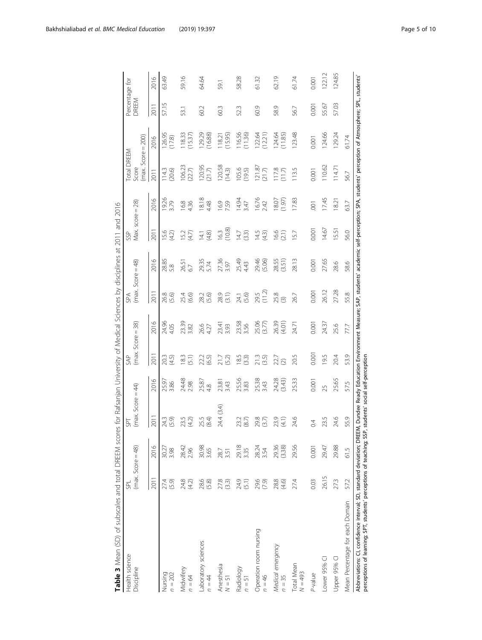<span id="page-4-0"></span>

| Table 3 Mean (SD) of subscales and total DREEM scor                                                                                                                            |                                   |                 | es for Rafsanjan University of Medical Sciences by disciplines at 2011 and 2016                                                                 |                 |                                |                 |                            |                        |                          |                |                                                     |                   |                         |        |
|--------------------------------------------------------------------------------------------------------------------------------------------------------------------------------|-----------------------------------|-----------------|-------------------------------------------------------------------------------------------------------------------------------------------------|-----------------|--------------------------------|-----------------|----------------------------|------------------------|--------------------------|----------------|-----------------------------------------------------|-------------------|-------------------------|--------|
| Health science<br>Discipline                                                                                                                                                   | $(max. Score = 48)$<br><b>SPL</b> |                 | $(max. Score = 44)$<br><b>SPT</b>                                                                                                               |                 | $(max. Score = 38)$<br>SAP     |                 | $(max. Score = 48)$<br>SPA |                        | Max. $score = 28$<br>SSP |                | $(max. Score = 200)$<br><b>Total DREEM</b><br>Score |                   | Percentage for<br>OREEM |        |
|                                                                                                                                                                                | 2011                              | 2016            | 2011                                                                                                                                            | 2016            | 2011                           | 2016            | 2011                       | 2016                   | 2011                     | 2016           | 2011                                                | 2016              | 2011                    | 2016   |
| Nursing<br>$n = 202$                                                                                                                                                           | 27.4<br>(5.9)                     | 30.27<br>3.98   | 24.3<br>(5.9)                                                                                                                                   | 25.97<br>3.86   | (4.5)<br>20.3                  | 24.96<br>4.05   | 26.8<br>(5.6)              | 28.85<br>$\frac{8}{2}$ | 15.6<br>$(4.2)$          | 19.26<br>3.79  | (20.6)<br>14.3                                      | 126.95<br>(17.8)  | 57.15                   | 63.49  |
| Midwifery<br>$n = 64$                                                                                                                                                          | 24.8<br>(4.2)                     | 28.42<br>2.96   | 23.5<br>(4.2)                                                                                                                                   | 24.48<br>2.98   | 183<br>(5.1)                   | 23.39<br>3.82   | 25.4<br>(6.6)              | 2651<br>6.7            | 15.2<br>(4.7)            | 16.8<br>4.36   | 106.23<br>(22.7)                                    | 118.33<br>(15.37) | 53.1                    | 59.16  |
| Laboratory sciences<br>$n = 44$                                                                                                                                                | 28.6<br>(5.8)                     | 30.98           | 25.5<br>(8.4)                                                                                                                                   | 25.87<br>4.8    | 22.2<br>(6.5)                  | 26.6<br>4.27    | 28.2<br>(5.6)              | 29.35<br>5.74          | (4.8)<br>$\frac{1}{4}$   | 18.18<br>4.48  | 120.95<br>(21.7)                                    | 129.29<br>(16.88) | 60.2                    | 64.64  |
| Anesthesia<br>$N=51$                                                                                                                                                           | 27.8<br>(3.3)                     | 28.7<br>3.51    | 24.4 (3.4)                                                                                                                                      | 23.81<br>3.43   | (5.2)<br>21.7                  | 23.41<br>3.93   | 28.9<br>(3.1)              | 27.36<br>3.97          | (10.8)<br>16.3           | 16.9<br>7.59   | 120.58<br>(14.3)                                    | (15.95)<br>118.21 | 60.3                    | 59.1   |
| Radiology<br>$n = 51$                                                                                                                                                          | 24.9<br>(5.1)                     | 29.18           | 23.2<br>(8.7)                                                                                                                                   | 25.56<br>3.83   | 18.5<br>(3.3)                  | 23.58           | (5.6)<br>24.1              | 25.49<br>4.43          | 14.7<br>(3.3)            | 14.94<br>3.47  | 105.6<br>(19.5)                                     | 116.56<br>(11.36) | 52.3                    | 58.28  |
| Operation room nursing<br>$n = 46$                                                                                                                                             | 29.6<br>(7.9)                     | 28.24<br>3.54   | 29.8<br>(3.7)                                                                                                                                   | 25.38<br>3.43   | 21.3<br>(3.5)                  | 25.06<br>(3.77) | (11.2)<br>29.5             | 29.46<br>(5.06)        | 14.5<br>(4.3)            | 16.76<br>2.42  | 121.87<br>(21.7)                                    | 122.64<br>(12.21) | 60.9                    | 61.32  |
| Medical emergency<br>$n = 35$                                                                                                                                                  | 28.8<br>(4.6)                     | 29.36<br>(3.38) | 23.9<br>$\left( 4.1\right)$                                                                                                                     | 24.28<br>(3.43) | 22.7<br>$\widehat{\mathbb{C}}$ | 26.39<br>(4.01) | 25.8<br>$\widehat{\infty}$ | 28.55<br>(3.51)        | 16.6<br>(2.1)            | 18.07<br>(9)   | 1178<br>11.7                                        | 124.64<br>(11.85) | 58.9                    | 62.19  |
| <b>Total Mean</b><br>$N = 493$                                                                                                                                                 | 27.4                              | 29.56           | 24.6                                                                                                                                            | 25.33           | 20.5                           | 24.71           | 26.7                       | 28.13                  | 15.7                     | 17.83          | 113.5                                               | 123.48            | 56.7                    | 61.74  |
| P-value                                                                                                                                                                        | 0.03                              | 0.001           | $\overline{0}$                                                                                                                                  | 0.001           | 0.001                          | 0.001           | 0.001                      | 0.001                  | 0.001                    | $\overline{5}$ | 0.001                                               | 0.001             | 0.001                   | 0.001  |
| Lower 95% CI                                                                                                                                                                   | 26.15                             | 29.47           | 23.5                                                                                                                                            | 25              | 195                            | 24.37           | 26.12                      | 27.65                  | 14,67                    | 17.45          | 110.62                                              | 124.66            | 55.67                   | 122.12 |
| Upper 95% CI                                                                                                                                                                   | 27.3                              | 29.88           | 24.6                                                                                                                                            | 25.65           | 20.4                           | 25.6            | 27.28                      | 28.6                   | 15.51                    | 18.21          | 114.71                                              | 129.24            | 57.03                   | 124.85 |
| Mean Percentage for each Domain                                                                                                                                                | 57.2                              | 61.5            | 55.9                                                                                                                                            | 575             | 53.9                           | 77,7            | 55.8                       | 58.6                   | 56.0                     | 63.7           | 56.7                                                | 61.74             |                         |        |
| perceptions of learning; SPT, students' perceptions of teaching; SSP, students' social self-perception<br>Abbreviations: CI, confidence interval; SD, standard deviation; DREE |                                   |                 | M, Dundee Ready Education Environment Measure; SAP, students' academic self-perception; SPA, students' perception of Atmosphere; SPL, students' |                 |                                |                 |                            |                        |                          |                |                                                     |                   |                         |        |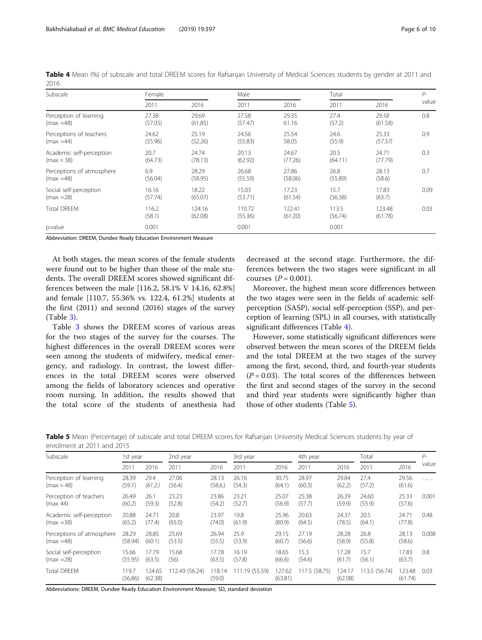| Table 4 Mean (%) of subscale and total DREEM scores for Rafsanjan University of Medical Sciences students by gender at 2011 and |  |  |  |  |  |
|---------------------------------------------------------------------------------------------------------------------------------|--|--|--|--|--|
| 2016                                                                                                                            |  |  |  |  |  |

| Subscale                  | Female          |                   | Male              |                   |                  | Total             |       |
|---------------------------|-----------------|-------------------|-------------------|-------------------|------------------|-------------------|-------|
|                           | 2011            | 2016              | 2011              | 2016              | 2011             | 2016              | value |
| Perception of learning    | 27.38           | 29.69             | 27.58             | 29.35             | 27.4             | 29.58             | 0.8   |
| $(max = 48)$              | (57.05)         | (61.85)           | (57.47)           | 61.16             | (57.2)           | (61.58)           |       |
| Perceptions of teachers   | 24.62           | 25.19             | 24.56             | 25.54             | 24.6             | 25.33             | 0.9   |
| $(max = 44)$              | (55.96)         | (52.26)           | (55.83)           | 58.05             | (55.9)           | (57.57)           |       |
| Academic self-perception  | 20.7            | 24.74             | 20.13             | 24.67             | 20.5             | 24.71             | 0.3   |
| $(max = 38)$              | (64.73)         | (78.13)           | (62.92)           | (77.26)           | (64.11)          | (77.79)           |       |
| Perceptions of atmosphere | 6.9             | 28.29             | 26.68             | 27.86             | 26.8             | 28.13             | 0.7   |
| $(max = 48)$              | (56.04)         | (58.95)           | (55.59)           | (58.06)           | (55.89)          | (58.6)            |       |
| Social self-perception    | 16.16           | 18.22             | 15.03             | 17.23             | 15.7             | 17.83             | 0.09  |
| $(max = 28)$              | (57.74)         | (65.07)           | (53.71)           | (61.54)           | (56.38)          | (63.7)            |       |
| <b>Total DREEM</b>        | 116.2<br>(58.1) | 124.16<br>(62.08) | 110.72<br>(55.36) | 122.41<br>(61.20) | 113.5<br>(56.74) | 123.48<br>(61.78) | 0.03  |
| p.value                   | 0.001           |                   | 0.001             |                   | 0.001            |                   |       |

Abbreviation: DREEM, Dundee Ready Education Environment Measure

At both stages, the mean scores of the female students were found out to be higher than those of the male students. The overall DREEM scores showed significant differences between the male [116.2, 58.1% V 14.16, 62.8%] and female [110.7, 55.36% vs. 122.4, 61.2%] students at the first (2011) and second (2016) stages of the survey (Table [3\)](#page-4-0).

Table [3](#page-4-0) shows the DREEM scores of various areas for the two stages of the survey for the courses. The highest differences in the overall DREEM scores were seen among the students of midwifery, medical emergency, and radiology. In contrast, the lowest differences in the total DREEM scores were observed among the fields of laboratory sciences and operative room nursing. In addition, the results showed that the total score of the students of anesthesia had

decreased at the second stage. Furthermore, the differences between the two stages were significant in all courses  $(P = 0.001)$ .

Moreover, the highest mean score differences between the two stages were seen in the fields of academic selfperception (SASP), social self-perception (SSP), and perception of learning (SPL) in all courses, with statistically significant differences (Table 4).

However, some statistically significant differences were observed between the mean scores of the DREEM fields and the total DREEM at the two stages of the survey among the first, second, third, and fourth-year students  $(P = 0.03)$ . The total scores of the differences between the first and second stages of the survey in the second and third year students were significantly higher than those of other students (Table 5).

| Table 5 Mean (Percentage) of subscale and total DREEM scores for Rafsanjan University Medical Sciences students by year of |  |  |  |  |
|----------------------------------------------------------------------------------------------------------------------------|--|--|--|--|
| enrolment at 2011 and 2015                                                                                                 |  |  |  |  |

| Subscale                  | 1st year         |                   | 2nd year       |                  | 3rd year      |                   | 4th year     |                   | Total         |                   | $P-$  |
|---------------------------|------------------|-------------------|----------------|------------------|---------------|-------------------|--------------|-------------------|---------------|-------------------|-------|
|                           | 2011             | 2016              | 2011           | 2016             | 2011          | 2016              | 2011         | 2016              | 2011          | 2016              | value |
| Perception of learning    | 28.39            | 29.4              | 27.06          | 28.13            | 26.16         | 30.75             | 28.97        | 29.84             | 27.4          | 29.56             | .     |
| $(max = 48)$              | (59.1)           | (61.2.)           | (56.4)         | (58.6)           | (54.3)        | (64.1)            | (60.3)       | (62.2)            | (57.2)        | (61.6)            |       |
| Perception of teachers    | 26.49            | 26.1              | 23.23          | 23.86            | 23.21         | 25.07             | 25.38        | 26.39             | 24.60         | 25.33             | 0.001 |
| (max 44)                  | (60.2)           | (59.3)            | (52.8)         | (54.2)           | (52.7)        | (56.9)            | (57.7)       | (59.9)            | (55.9)        | (57.6)            |       |
| Academic self-perception  | 20.88            | 24.71             | 20.8           | 23.97            | 19.8          | 25.96             | 20.63        | 24.37             | 20.5          | 24.71             | 0.48  |
| $(max = 38)$              | (65.2)           | (77.4)            | (65.0)         | (74.0)           | (61.9)        | (80.9)            | (64.5)       | (78.5)            | (64.1)        | (77.8)            |       |
| Perceptions of atmosphere | 28.29            | 28.85             | 25.69          | 26.94            | 25.9          | 29.15             | 27.19        | 28.28             | 26.8          | 28.13             | 0.008 |
| $(max = 48)$              | (58.94)          | (60.1)            | (53.5)         | (55.5)           | (53.9)        | (60.7)            | (56.6)       | (58.9)            | (55.8)        | (58.6)            |       |
| Social self-perception    | 15.66            | 17.79             | 15.68          | 17.78            | 16.19         | 18.65             | 15.3         | 17.28             | 15.7          | 17.83             | 0.8   |
| $(max = 28)$              | (55.95)          | (63.5)            | (56)           | (63.5)           | (57.8)        | (66.6)            | (54.6)       | (61.7)            | (56.1)        | (63.7)            |       |
| <b>Total DREEM</b>        | 119.7<br>(56.86) | 124.65<br>(62.38) | 112.49 (56.24) | 118.14<br>(59.0) | 11.19 (55.59) | 127.62<br>(63.81) | 17.5 (58.75) | 124.17<br>(62.08) | 113.5 (56.74) | 123.48<br>(61.74) | 0.03  |

Abbreviations: DREEM, Dundee Ready Education Environment Measure; SD, standard deviation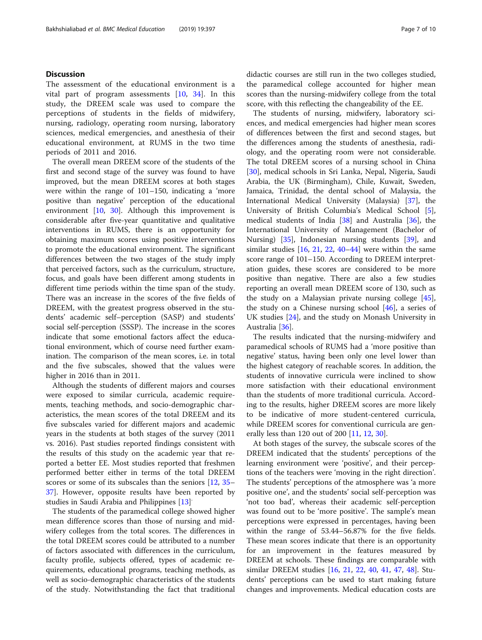### **Discussion**

The assessment of the educational environment is a vital part of program assessments [[10,](#page-8-0) [34](#page-9-0)]. In this study, the DREEM scale was used to compare the perceptions of students in the fields of midwifery, nursing, radiology, operating room nursing, laboratory sciences, medical emergencies, and anesthesia of their educational environment, at RUMS in the two time periods of 2011 and 2016.

The overall mean DREEM score of the students of the first and second stage of the survey was found to have improved, but the mean DREEM scores at both stages were within the range of 101–150, indicating a 'more positive than negative' perception of the educational environment [\[10](#page-8-0), [30](#page-8-0)]. Although this improvement is considerable after five-year quantitative and qualitative interventions in RUMS, there is an opportunity for obtaining maximum scores using positive interventions to promote the educational environment. The significant differences between the two stages of the study imply that perceived factors, such as the curriculum, structure, focus, and goals have been different among students in different time periods within the time span of the study. There was an increase in the scores of the five fields of DREEM, with the greatest progress observed in the students' academic self–perception (SASP) and students' social self-perception (SSSP). The increase in the scores indicate that some emotional factors affect the educational environment, which of course need further examination. The comparison of the mean scores, i.e. in total and the five subscales, showed that the values were higher in 2016 than in 2011.

Although the students of different majors and courses were exposed to similar curricula, academic requirements, teaching methods, and socio-demographic characteristics, the mean scores of the total DREEM and its five subscales varied for different majors and academic years in the students at both stages of the survey (2011 vs. 2016). Past studies reported findings consistent with the results of this study on the academic year that reported a better EE. Most studies reported that freshmen performed better either in terms of the total DREEM scores or some of its subscales than the seniors [[12](#page-8-0), [35](#page-9-0)– [37\]](#page-9-0). However, opposite results have been reported by studies in Saudi Arabia and Philippines [\[13](#page-8-0)]

The students of the paramedical college showed higher mean difference scores than those of nursing and midwifery colleges from the total scores. The differences in the total DREEM scores could be attributed to a number of factors associated with differences in the curriculum, faculty profile, subjects offered, types of academic requirements, educational programs, teaching methods, as well as socio-demographic characteristics of the students of the study. Notwithstanding the fact that traditional

didactic courses are still run in the two colleges studied, the paramedical college accounted for higher mean scores than the nursing-midwifery college from the total score, with this reflecting the changeability of the EE.

The students of nursing, midwifery, laboratory sciences, and medical emergencies had higher mean scores of differences between the first and second stages, but the differences among the students of anesthesia, radiology, and the operating room were not considerable. The total DREEM scores of a nursing school in China [[30\]](#page-8-0), medical schools in Sri Lanka, Nepal, Nigeria, Saudi Arabia, the UK (Birmingham), Chile, Kuwait, Sweden, Jamaica, Trinidad, the dental school of Malaysia, the International Medical University (Malaysia) [[37\]](#page-9-0), the University of British Columbia's Medical School [\[5](#page-8-0)], medical students of India [[38](#page-9-0)] and Australia [[36](#page-9-0)], the International University of Management (Bachelor of Nursing) [\[35\]](#page-9-0), Indonesian nursing students [\[39](#page-9-0)], and similar studies  $[16, 21, 22, 40-44]$  $[16, 21, 22, 40-44]$  $[16, 21, 22, 40-44]$  $[16, 21, 22, 40-44]$  $[16, 21, 22, 40-44]$  $[16, 21, 22, 40-44]$  $[16, 21, 22, 40-44]$  $[16, 21, 22, 40-44]$  $[16, 21, 22, 40-44]$  $[16, 21, 22, 40-44]$  were within the same score range of 101–150. According to DREEM interpretation guides, these scores are considered to be more positive than negative. There are also a few studies reporting an overall mean DREEM score of 130, such as the study on a Malaysian private nursing college [\[45](#page-9-0)], the study on a Chinese nursing school  $[46]$ , a series of UK studies [[24](#page-8-0)], and the study on Monash University in Australia [[36](#page-9-0)].

The results indicated that the nursing-midwifery and paramedical schools of RUMS had a 'more positive than negative' status, having been only one level lower than the highest category of reachable scores. In addition, the students of innovative curricula were inclined to show more satisfaction with their educational environment than the students of more traditional curricula. According to the results, higher DREEM scores are more likely to be indicative of more student-centered curricula, while DREEM scores for conventional curricula are generally less than 120 out of 200 [\[11](#page-8-0), [12](#page-8-0), [30\]](#page-8-0).

At both stages of the survey, the subscale scores of the DREEM indicated that the students' perceptions of the learning environment were 'positive', and their perceptions of the teachers were 'moving in the right direction'. The students' perceptions of the atmosphere was 'a more positive one', and the students' social self-perception was 'not too bad', whereas their academic self-perception was found out to be 'more positive'. The sample's mean perceptions were expressed in percentages, having been within the range of 53.44–56.87% for the five fields. These mean scores indicate that there is an opportunity for an improvement in the features measured by DREEM at schools. These findings are comparable with similar DREEM studies [\[16](#page-8-0), [21,](#page-8-0) [22,](#page-8-0) [40](#page-9-0), [41](#page-9-0), [47,](#page-9-0) [48](#page-9-0)]. Students' perceptions can be used to start making future changes and improvements. Medical education costs are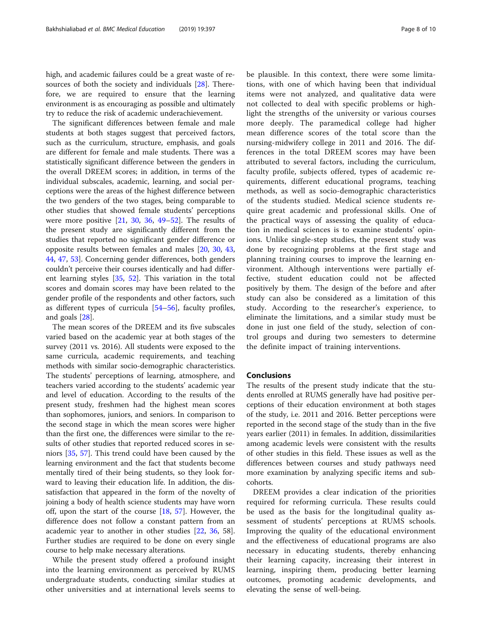high, and academic failures could be a great waste of re-sources of both the society and individuals [[28](#page-8-0)]. Therefore, we are required to ensure that the learning environment is as encouraging as possible and ultimately try to reduce the risk of academic underachievement.

The significant differences between female and male students at both stages suggest that perceived factors, such as the curriculum, structure, emphasis, and goals are different for female and male students. There was a statistically significant difference between the genders in the overall DREEM scores; in addition, in terms of the individual subscales, academic, learning, and social perceptions were the areas of the highest difference between the two genders of the two stages, being comparable to other studies that showed female students' perceptions were more positive [[21](#page-8-0), [30,](#page-8-0) [36](#page-9-0), [49](#page-9-0)–[52\]](#page-9-0). The results of the present study are significantly different from the studies that reported no significant gender difference or opposite results between females and males [[20,](#page-8-0) [30,](#page-8-0) [43](#page-9-0), [44,](#page-9-0) [47,](#page-9-0) [53\]](#page-9-0). Concerning gender differences, both genders couldn't perceive their courses identically and had different learning styles [\[35,](#page-9-0) [52\]](#page-9-0). This variation in the total scores and domain scores may have been related to the gender profile of the respondents and other factors, such as different types of curricula [[54](#page-9-0)–[56\]](#page-9-0), faculty profiles, and goals [\[28](#page-8-0)].

The mean scores of the DREEM and its five subscales varied based on the academic year at both stages of the survey (2011 vs. 2016). All students were exposed to the same curricula, academic requirements, and teaching methods with similar socio-demographic characteristics. The students' perceptions of learning, atmosphere, and teachers varied according to the students' academic year and level of education. According to the results of the present study, freshmen had the highest mean scores than sophomores, juniors, and seniors. In comparison to the second stage in which the mean scores were higher than the first one, the differences were similar to the results of other studies that reported reduced scores in seniors [[35](#page-9-0), [57\]](#page-9-0). This trend could have been caused by the learning environment and the fact that students become mentally tired of their being students, so they look forward to leaving their education life. In addition, the dissatisfaction that appeared in the form of the novelty of joining a body of health science students may have worn off, upon the start of the course [\[18,](#page-8-0) [57\]](#page-9-0). However, the difference does not follow a constant pattern from an academic year to another in other studies [[22,](#page-8-0) [36,](#page-9-0) 58]. Further studies are required to be done on every single course to help make necessary alterations.

While the present study offered a profound insight into the learning environment as perceived by RUMS undergraduate students, conducting similar studies at other universities and at international levels seems to be plausible. In this context, there were some limitations, with one of which having been that individual items were not analyzed, and qualitative data were not collected to deal with specific problems or highlight the strengths of the university or various courses more deeply. The paramedical college had higher mean difference scores of the total score than the nursing-midwifery college in 2011 and 2016. The differences in the total DREEM scores may have been attributed to several factors, including the curriculum, faculty profile, subjects offered, types of academic requirements, different educational programs, teaching methods, as well as socio-demographic characteristics of the students studied. Medical science students require great academic and professional skills. One of the practical ways of assessing the quality of education in medical sciences is to examine students' opinions. Unlike single-step studies, the present study was done by recognizing problems at the first stage and planning training courses to improve the learning environment. Although interventions were partially effective, student education could not be affected positively by them. The design of the before and after study can also be considered as a limitation of this study. According to the researcher's experience, to eliminate the limitations, and a similar study must be done in just one field of the study, selection of control groups and during two semesters to determine the definite impact of training interventions.

#### Conclusions

The results of the present study indicate that the students enrolled at RUMS generally have had positive perceptions of their education environment at both stages of the study, i.e. 2011 and 2016. Better perceptions were reported in the second stage of the study than in the five years earlier (2011) in females. In addition, dissimilarities among academic levels were consistent with the results of other studies in this field. These issues as well as the differences between courses and study pathways need more examination by analyzing specific items and subcohorts.

DREEM provides a clear indication of the priorities required for reforming curricula. These results could be used as the basis for the longitudinal quality assessment of students' perceptions at RUMS schools. Improving the quality of the educational environment and the effectiveness of educational programs are also necessary in educating students, thereby enhancing their learning capacity, increasing their interest in learning, inspiring them, producing better learning outcomes, promoting academic developments, and elevating the sense of well-being.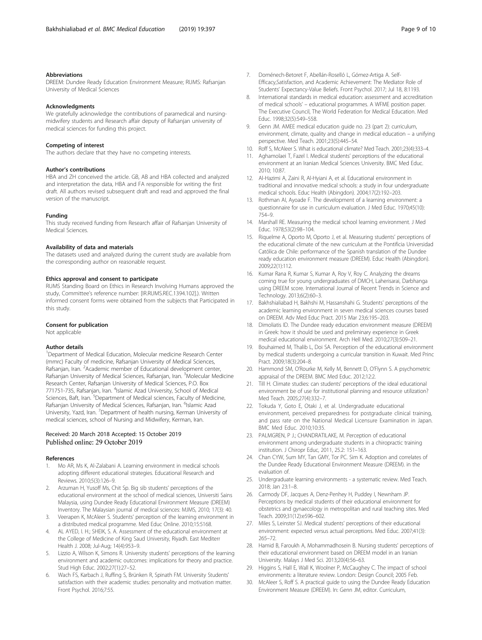#### <span id="page-8-0"></span>Abbreviations

DREEM: Dundee Ready Education Environment Measure; RUMS: Rafsanjan University of Medical Sciences

#### Acknowledgments

We gratefully acknowledge the contributions of paramedical and nursingmidwifery students and Research affair deputy of Rafsanjan university of medical sciences for funding this project.

#### Competing of interest

The authors declare that they have no competing interests.

#### Author's contributions

HBA and ZH conceived the article. GB, AB and HBA collected and analyzed and interpretation the data, HBA and FA responsible for writing the first draft. All authors revised subsequent draft and read and approved the final version of the manuscript.

#### Funding

This study received funding from Research affair of Rafsanjan University of Medical Sciences.

#### Availability of data and materials

The datasets used and analyzed during the current study are available from the corresponding author on reasonable request.

#### Ethics approval and consent to participate

RUMS Standing Board on Ethics in Research Involving Humans approved the study, Committee's reference number: [IR.RUMS.REC.1394.102].). Written informed consent forms were obtained from the subjects that Participated in this study.

#### Consent for publication

Not applicable

#### Author details

<sup>1</sup>Department of Medical Education, Molecular medicine Research Center (mmrc) Faculty of medicine, Rafsanjan University of Medical Sciences, Rafsanjan, Iran. <sup>2</sup>Academic member of Educational development center, Rafsanjan University of Medical Sciences, Rafsanjan, Iran. <sup>3</sup>Molecular Medicine Research Center, Rafsanjan University of Medical Sciences, P.O. Box 771751-735, Rafsanjan, Iran. <sup>4</sup>Islamic Azad University, School of Medical Sciences, Baft, Iran. <sup>5</sup>Department of Medical sciences, Faculty of Medicine, Rafsanjan University of Medical Sciences, Rafsanjan, Iran. <sup>6</sup>Islamic Azad University, Yazd, Iran. <sup>7</sup> Department of health nursing, Kerman University of medical sciences, school of Nursing and Midwifery, Kerman, Iran.

#### Received: 20 March 2018 Accepted: 15 October 2019 Published online: 29 October 2019

#### References

- 1. Mo AR, Ms K, Al-Zalabani A. Learning environment in medical schools adopting different educational strategies. Educational Research and Reviews. 2010;5(3):126–9.
- 2. Arzuman H, Yusoff Ms, Chit Sp. Big sib students' perceptions of the educational environment at the school of medical sciences, Universiti Sains Malaysia, using Dundee Ready Educational Environment Measure (DREEM) Inventory. The Malaysian journal of medical sciences: MJMS, 2010; 17(3): 40.
- Veerapen K, McAleer S. Students' perception of the learning environment in a distributed medical programme. Med Educ Online. 2010;15:5168.
- 4. AL AYED, I. H.; SHEIK, S. A. Assessment of the educational environment at the College of Medicine of King Saud University, Riyadh. East Mediterr Health J. 2008; Jul-Aug; 14(4):953–9.
- 5. Lizzio A, Wilson K, Simons R. University students' perceptions of the learning environment and academic outcomes: implications for theory and practice. Stud High Educ. 2002;27(1):27–52.
- 6. Wach FS, Karbach J, Ruffing S, Brünken R, Spinath FM. University Students' satisfaction with their academic studies: personality and motivation matter. Front Psychol. 2016;7:55.
- 7. Doménech-Betoret F, Abellán-Roselló L, Gómez-Artiga A. Self-Efficacy,Satisfaction, and Academic Achievement: The Mediator Role of Students' Expectancy-Value Beliefs. Front Psychol. 2017; Jul 18, 8:1193.
- International standards in medical education: assessment and accreditation of medical schools' – educational programmes. A WFME position paper. The Executive Council, The World Federation for Medical Education. Med Educ. 1998;32(5):549–558.
- 9. Genn JM. AMEE medical education guide no. 23 (part 2): curriculum, environment, climate, quality and change in medical education – a unifying perspective. Med Teach. 2001;23(5):445–54.
- 10. Roff S, McAleer S. What is educational climate? Med Teach. 2001;23(4):333–4.
- 11. Aghamolaei T, Fazel I. Medical students' perceptions of the educational environment at an Iranian Medical Sciences University. BMC Med Educ. 2010; 10:87.
- 12. Al-Hazimi A, Zaini R, Al-Hyiani A, et al. Educational environment in traditional and innovative medical schools: a study in four undergraduate medical schools. Educ Health (Abingdon). 2004;17(2):192–203.
- 13. Rothman AI, Ayoade F. The development of a learning environment: a questionnaire for use in curriculum evaluation. J Med Educ. 1970;45(10): 754–9.
- 14. Marshall RE. Measuring the medical school learning environment. J Med Educ. 1978;53(2):98–104.
- 15. Riquelme A, Oporto M, Oporto J, et al. Measuring students' perceptions of the educational climate of the new curriculum at the Pontificia Universidad Católica de Chile: performance of the Spanish translation of the Dundee ready education environment measure (DREEM). Educ Health (Abingdon). 2009;22(1):112.
- 16. Kumar Rana R, Kumar S, Kumar A, Roy V, Roy C. Analyzing the dreams coming true for young undergraduates of DMCH, Laherisarai, Darbhanga using DREEM score. International Journal of Recent Trends in Science and Technology. 2013;6(2):60–3.
- 17. Bakhshialiabad H, Bakhshi M, Hassanshahi G. Students' perceptions of the academic learning environment in seven medical sciences courses based on DREEM. Adv Med Educ Pract. 2015 Mar 23;6:195–203.
- 18. Dimoliatis ID. The Dundee ready education environment measure (DREEM) in Greek: how it should be used and preliminary experience in Greek medical educational environment. Arch Hell Med. 2010;27(3):509–21.
- 19. Bouhaimed M, Thalib L, Doi SA. Perception of the educational environment by medical students undergoing a curricular transition in Kuwait. Med Princ Pract. 2009;18(3):204–8.
- 20. Hammond SM, O'Rourke M, Kelly M, Bennett D, O'Flynn S. A psychometric appraisal of the DREEM. BMC Med Educ. 2012;12:2.
- 21. Till H. Climate studies: can students' perceptions of the ideal educational environment be of use for institutional planning and resource utilization? Med Teach. 2005;27(4):332–7.
- 22. Tokuda Y, Goto E, Otaki J, et al. Undergraduate educational environment, perceived preparedness for postgraduate clinical training, and pass rate on the National Medical Licensure Examination in Japan. BMC Med Educ. 2010;10:35.
- 23. PALMGREN, P J.; CHANDRATILAKE, M. Perception of educational environment among undergraduate students in a chiropractic training institution. J Chiropr Educ, 2011, 25.2: 151–163.
- 24. Chan CYW, Sum MY, Tan GMY, Tor PC. Sim K. Adoption and correlates of the Dundee Ready Educational Environment Measure (DREEM). in the evaluation of.
- 25. Undergraduate learning environments a systematic review. Med Teach. 2018; Jan 23:1–8.
- 26. Carmody DF, Jacques A, Denz-Penhey H, Puddey I, Newnham JP. Perceptions by medical students of their educational environment for obstetrics and gynaecology in metropolitan and rural teaching sites. Med Teach. 2009;31(12):e596–602.
- 27. Miles S, Leinster SJ. Medical students' perceptions of their educational environment: expected versus actual perceptions. Med Educ. 2007;41(3): 265–72.
- 28. Hamid B, Faroukh A, Mohammadhosein B. Nursing students' perceptions of their educational environment based on DREEM model in an Iranian University. Malays J Med Sci. 2013;20(4):56–63.
- 29. Higgins S, Hall E, Wall K, Woolner P, McCaughey C. The impact of school environments: a literature review. London: Design Council; 2005 Feb.
- 30. McAleer S, Roff S. A practical guide to using the Dundee Ready Education Environment Measure (DREEM). In: Genn JM, editor. Curriculum,